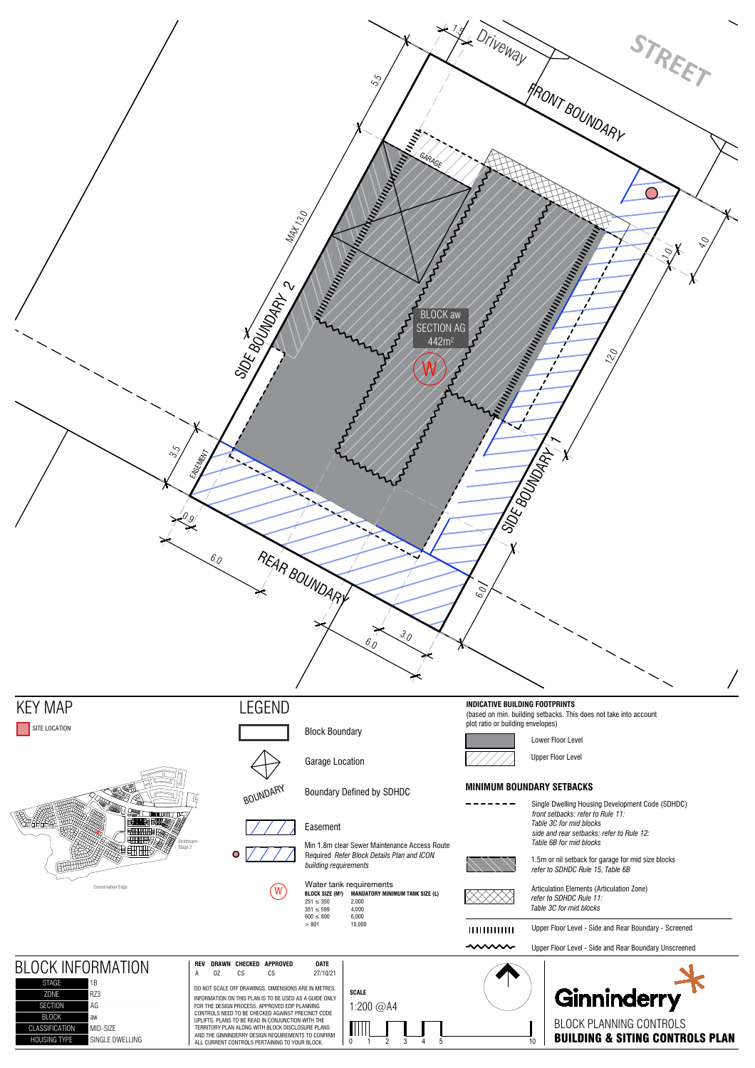